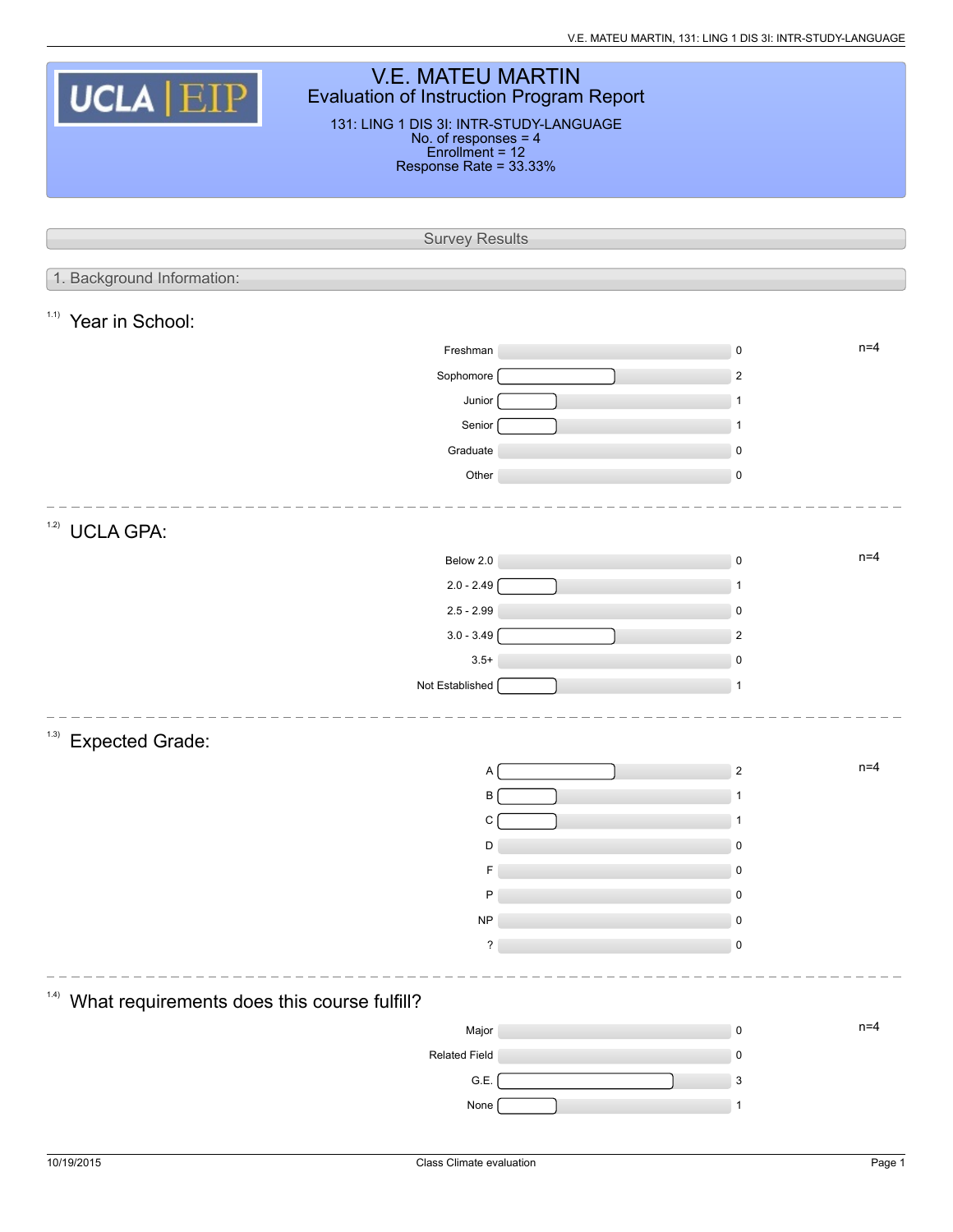| <b>V.E. MATEU MARTIN</b><br><b>UCLA EIP</b><br><b>Evaluation of Instruction Program Report</b><br>131: LING 1 DIS 3I: INTR-STUDY-LANGUAGE<br>No. of responses = 4<br>Enrollment = 12<br>Response Rate = 33.33% |  |                          |  |  |  |  |  |  |  |
|----------------------------------------------------------------------------------------------------------------------------------------------------------------------------------------------------------------|--|--------------------------|--|--|--|--|--|--|--|
|                                                                                                                                                                                                                |  |                          |  |  |  |  |  |  |  |
| <b>Survey Results</b>                                                                                                                                                                                          |  |                          |  |  |  |  |  |  |  |
|                                                                                                                                                                                                                |  |                          |  |  |  |  |  |  |  |
| 1. Background Information:                                                                                                                                                                                     |  |                          |  |  |  |  |  |  |  |
| 1.1)<br>Year in School:                                                                                                                                                                                        |  |                          |  |  |  |  |  |  |  |
| Freshman                                                                                                                                                                                                       |  | $n=4$<br>$\mathsf 0$     |  |  |  |  |  |  |  |
| Sophomore                                                                                                                                                                                                      |  | $\sqrt{2}$               |  |  |  |  |  |  |  |
| Junior                                                                                                                                                                                                         |  | $\mathbf{1}$             |  |  |  |  |  |  |  |
| Senior                                                                                                                                                                                                         |  | $\mathbf{1}$             |  |  |  |  |  |  |  |
| Graduate                                                                                                                                                                                                       |  | $\mathsf 0$              |  |  |  |  |  |  |  |
| Other                                                                                                                                                                                                          |  | $\mathsf 0$              |  |  |  |  |  |  |  |
|                                                                                                                                                                                                                |  |                          |  |  |  |  |  |  |  |
| 1.2)<br><b>UCLA GPA:</b>                                                                                                                                                                                       |  |                          |  |  |  |  |  |  |  |
| Below 2.0                                                                                                                                                                                                      |  | $n=4$<br>$\mathsf 0$     |  |  |  |  |  |  |  |
| $2.0 - 2.49$                                                                                                                                                                                                   |  | $\mathbf{1}$             |  |  |  |  |  |  |  |
| $2.5 - 2.99$                                                                                                                                                                                                   |  | $\mathbf 0$              |  |  |  |  |  |  |  |
| $3.0 - 3.49$                                                                                                                                                                                                   |  | $\overline{2}$           |  |  |  |  |  |  |  |
| $3.5+$                                                                                                                                                                                                         |  | $\mathsf 0$              |  |  |  |  |  |  |  |
| Not Established                                                                                                                                                                                                |  | $\mathbf{1}$             |  |  |  |  |  |  |  |
|                                                                                                                                                                                                                |  |                          |  |  |  |  |  |  |  |
| (1.3)<br><b>Expected Grade:</b>                                                                                                                                                                                |  |                          |  |  |  |  |  |  |  |
| A                                                                                                                                                                                                              |  | $n=4$<br>$\sqrt{2}$      |  |  |  |  |  |  |  |
| В                                                                                                                                                                                                              |  |                          |  |  |  |  |  |  |  |
| C                                                                                                                                                                                                              |  | -1                       |  |  |  |  |  |  |  |
| D                                                                                                                                                                                                              |  | $\pmb{0}$                |  |  |  |  |  |  |  |
| F                                                                                                                                                                                                              |  | $\pmb{0}$                |  |  |  |  |  |  |  |
| P                                                                                                                                                                                                              |  | 0                        |  |  |  |  |  |  |  |
| <b>NP</b>                                                                                                                                                                                                      |  | $\pmb{0}$                |  |  |  |  |  |  |  |
| ?                                                                                                                                                                                                              |  | $\pmb{0}$                |  |  |  |  |  |  |  |
| (1.4)                                                                                                                                                                                                          |  |                          |  |  |  |  |  |  |  |
| What requirements does this course fulfill?                                                                                                                                                                    |  | $n=4$                    |  |  |  |  |  |  |  |
| Major                                                                                                                                                                                                          |  | $\mathsf 0$<br>$\pmb{0}$ |  |  |  |  |  |  |  |
| <b>Related Field</b><br>G.E.                                                                                                                                                                                   |  | 3                        |  |  |  |  |  |  |  |
| None                                                                                                                                                                                                           |  | $\mathbf{1}$             |  |  |  |  |  |  |  |
|                                                                                                                                                                                                                |  |                          |  |  |  |  |  |  |  |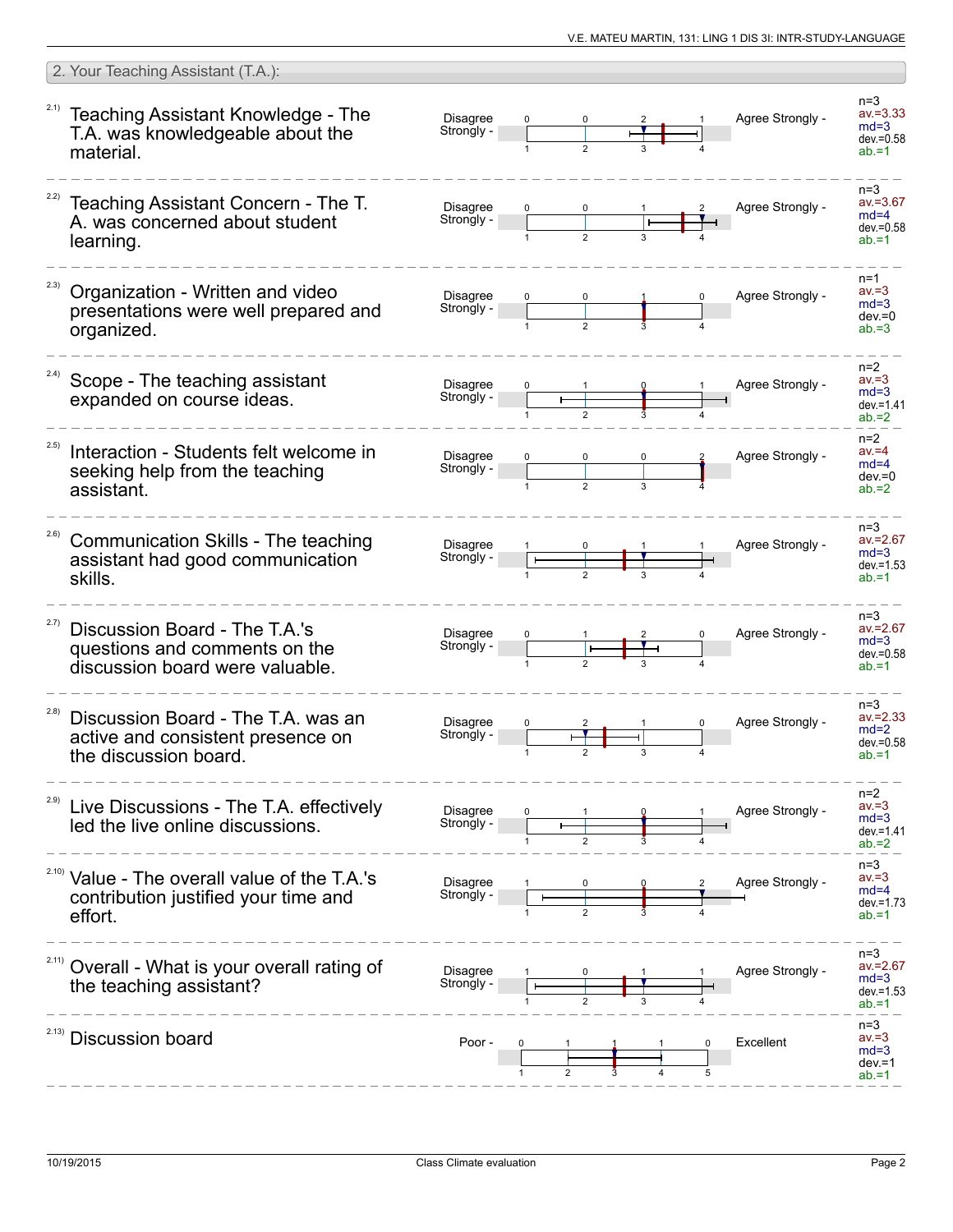|       | 2. Your Teaching Assistant (T.A.):                                                                          |                               |  |  |                  |                                                              |
|-------|-------------------------------------------------------------------------------------------------------------|-------------------------------|--|--|------------------|--------------------------------------------------------------|
| 2.1)  | Teaching Assistant Knowledge - The<br>T.A. was knowledgeable about the<br>material.                         | <b>Disagree</b><br>Strongly - |  |  | Agree Strongly - | $n = 3$<br>$av = 3.33$<br>$md=3$<br>$dev = 0.58$<br>$ab = 1$ |
|       | Teaching Assistant Concern - The T.<br>A. was concerned about student<br>learning.                          | <b>Disagree</b><br>Strongly - |  |  | Agree Strongly - | $n=3$<br>$av = 3.67$<br>$md=4$<br>$dev = 0.58$<br>$ab = 1$   |
| 2.3)  | Organization - Written and video<br>presentations were well prepared and<br>organized.                      | <b>Disagree</b><br>Strongly - |  |  | Agree Strongly - | $n=1$<br>$av = 3$<br>$md=3$<br>$dev = 0$<br>$ab = 3$         |
| 2.4)  | Scope - The teaching assistant<br>expanded on course ideas.                                                 | <b>Disagree</b><br>Strongly - |  |  | Agree Strongly - | $n=2$<br>$av = 3$<br>$md=3$<br>$dev = 1.41$<br>$ab = 2$      |
| 2.5)  | Interaction - Students felt welcome in<br>seeking help from the teaching<br>assistant.                      | <b>Disagree</b><br>Strongly - |  |  | Agree Strongly - | $n=2$<br>$av = 4$<br>$md=4$<br>$dev = 0$<br>$ab = 2$         |
| 2.6)  | <b>Communication Skills - The teaching</b><br>assistant had good communication<br>skills.                   | Disagree<br>Strongly -        |  |  | Agree Strongly - | $n=3$<br>$av = 2.67$<br>$md=3$<br>$dev = 1.53$<br>$ab = 1$   |
| 2.7)  | Discussion Board - The T.A.'s<br>questions and comments on the<br>discussion board were valuable.           | <b>Disagree</b><br>Strongly - |  |  | Agree Strongly - | $n=3$<br>$av = 2.67$<br>$md=3$<br>$dev = 0.58$<br>$ab = 1$   |
| (2.8) | Discussion Board - The T.A. was an<br>active and consistent presence on<br>the discussion board.            | <b>Disagree</b><br>Strongly - |  |  | Agree Strongly - | $n=3$<br>$av = 2.33$<br>$md=2$<br>$dev = 0.58$<br>$ab = 1$   |
|       | Live Discussions - The T.A. effectively<br>led the live online discussions.                                 | Disagree<br>Strongly -        |  |  | Agree Strongly - | $n=2$<br>$av = 3$<br>$md=3$<br>$dev = 1.41$<br>$ab = 2$      |
|       | <sup>2.10)</sup> Value - The overall value of the T.A.'s<br>contribution justified your time and<br>effort. | <b>Disagree</b><br>Strongly - |  |  | Agree Strongly - | $n=3$<br>$av = 3$<br>$md=4$<br>$dev = 1.73$<br>$ab = 1$      |
| 2.11) | Overall - What is your overall rating of<br>the teaching assistant?                                         | <b>Disagree</b><br>Strongly - |  |  | Agree Strongly - | $n=3$<br>$av = 2.67$<br>$md=3$<br>$dev = 1.53$<br>$ab = 1$   |
| 2.13) | <b>Discussion board</b>                                                                                     | Poor -                        |  |  | Excellent        | $n=3$<br>$av = 3$<br>$md=3$<br>$dev = 1$<br>$ab = 1$         |
|       |                                                                                                             |                               |  |  |                  |                                                              |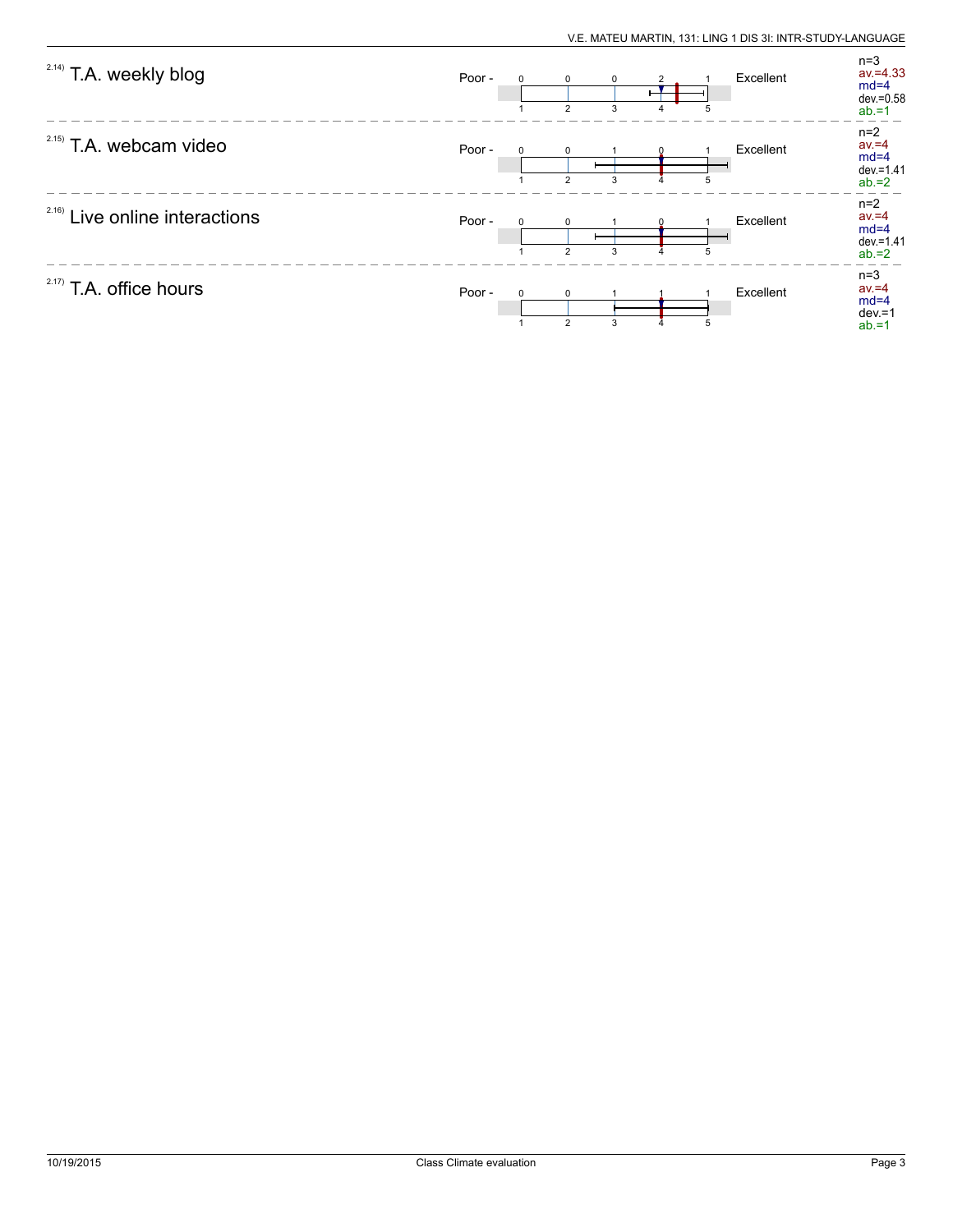| <sup>2.14)</sup> T.A. weekly blog | Poor -<br>$\Omega$ | $\Omega$<br>$\overline{2}$ | $\mathbf 0$<br>3 | 4 | 5 | Excellent | $n=3$<br>$av = 4.33$<br>$md=4$<br>$dev = 0.58$<br>$ab = 1$ |
|-----------------------------------|--------------------|----------------------------|------------------|---|---|-----------|------------------------------------------------------------|
| $2.15)$ T.A. webcam video         | Poor -             | $\overline{2}$             | 3                |   |   | Excellent | $n=2$<br>$av = 4$<br>$md=4$<br>$dev = 1.41$<br>$ab = 2$    |
| $2.16)$ Live online interactions  | Poor -             | $\mathcal{P}$              | 3                |   |   | Excellent | $n=2$<br>$av = 4$<br>$md=4$<br>$dev = 1.41$<br>$ab = 2$    |
| $2.17)$ T.A. office hours         | Poor -<br>$\Omega$ | $\Omega$<br>$\overline{2}$ | 3                |   | 5 | Excellent | $n=3$<br>$av = 4$<br>$md=4$<br>$dev = 1$<br>$ab = 1$       |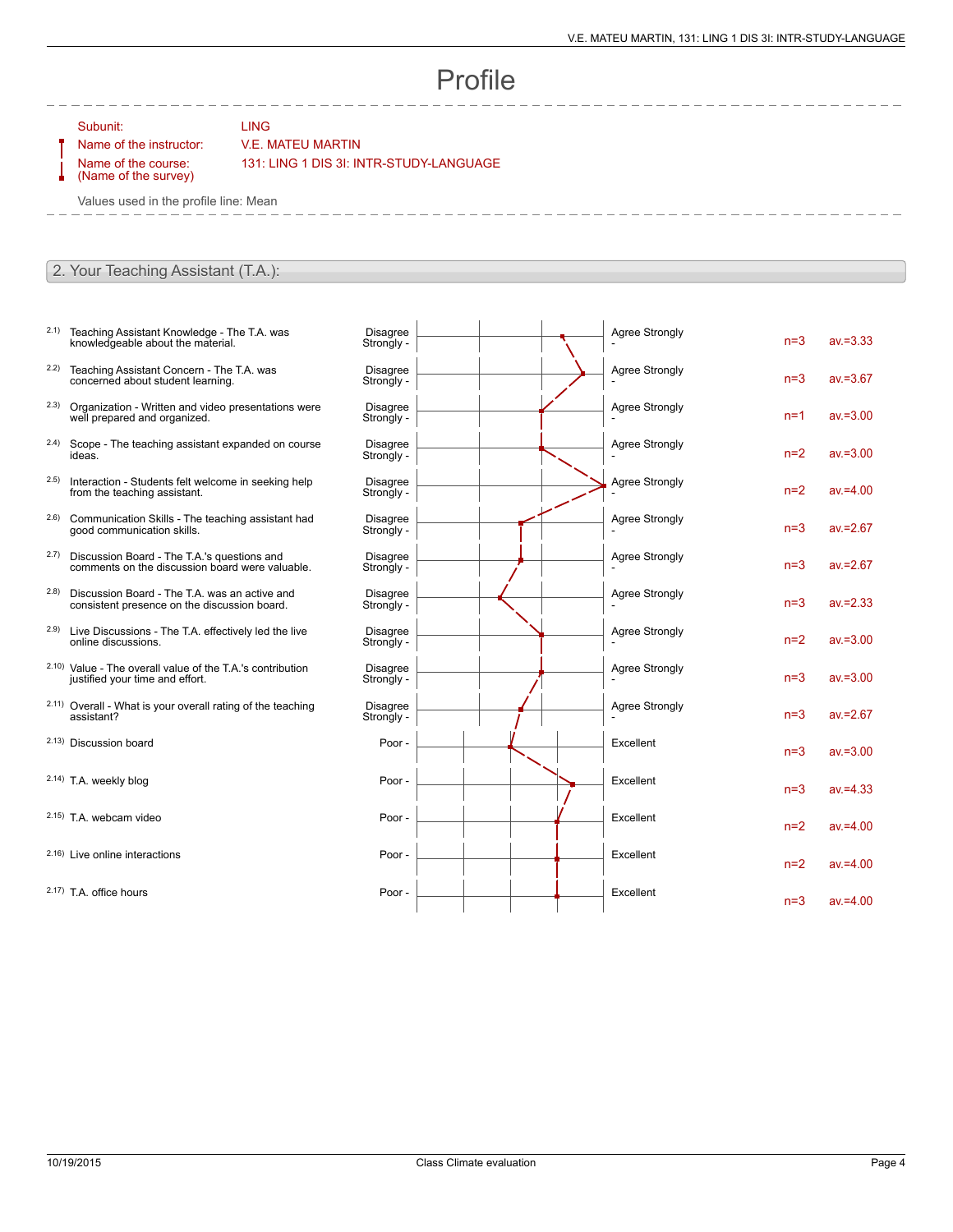## Profile

Subunit: LING

## Name of the instructor: V.E. MATEU MARTIN

Name of the course: (Name of the survey) 131: LING 1 DIS 3I: INTR-STUDY-LANGUAGE

Values used in the profile line: Mean

## 2. Your Teaching Assistant (T.A.):

- 2.1) Teaching Assistant Knowledge The T.A. was knowledgeable about the material.
- 2.2) Teaching Assistant Concern The T.A. was concerned about student learning.
- 2.3) Organization Written and video presentations were well prepared and organized.
- 2.4) Scope The teaching assistant expanded on course ideas.
- 2.5) Interaction Students felt welcome in seeking help from the teaching assistant.
- 2.6) Communication Skills The teaching assistant had good communication skills.
- 2.7) Discussion Board The T.A.'s questions and comments on the discussion board were valuable.
- 2.8) Discussion Board The T.A. was an active and consistent presence on the discussion board.
- 2.9) Live Discussions The T.A. effectively led the live online discussions.
- 2.10) Value The overall value of the T.A.'s contribution justified your time and effort.
- 2.11) Overall What is your overall rating of the teaching assistant?
- 2.13) Discussion board
- 2.14) T.A. weekly blog
- $2.15$ ) T.A. webcam video
- $2.16$ ) Live online interactions
- $2.17$ ) T.A. office hours

| <b>Disagree</b><br>Strongly - |  | <b>Agree Strongly</b> | $n=3$ | $av = 3.33$ |
|-------------------------------|--|-----------------------|-------|-------------|
| <b>Disagree</b><br>Strongly - |  | <b>Agree Strongly</b> | $n=3$ | $av = 3.67$ |
| <b>Disagree</b><br>Strongly - |  | Agree Strongly        | $n=1$ | $av = 3.00$ |
| <b>Disagree</b><br>Strongly - |  | <b>Agree Strongly</b> | $n=2$ | $av = 3.00$ |
| <b>Disagree</b><br>Strongly - |  | <b>Agree Strongly</b> | $n=2$ | $av = 4.00$ |
| <b>Disagree</b><br>Strongly - |  | <b>Agree Strongly</b> | $n=3$ | $av = 2.67$ |
| <b>Disagree</b><br>Strongly - |  | <b>Agree Strongly</b> | $n=3$ | $av = 2.67$ |
| <b>Disagree</b><br>Strongly - |  | <b>Agree Strongly</b> | $n=3$ | $av = 2.33$ |
| <b>Disagree</b><br>Strongly - |  | <b>Agree Strongly</b> | $n=2$ | $av = 3.00$ |
| <b>Disagree</b><br>Strongly - |  | Agree Strongly        | $n=3$ | $av = 3.00$ |
| <b>Disagree</b><br>Strongly - |  | <b>Agree Strongly</b> | $n=3$ | $av = 2.67$ |
| Poor -                        |  | Excellent             | $n=3$ | $av = 3.00$ |
| Poor -                        |  | Excellent             | $n=3$ | $av = 4.33$ |
| Poor -                        |  | Excellent             | $n=2$ | $av = 4.00$ |
| Poor -                        |  | Excellent             | $n=2$ | $av = 4.00$ |
| Poor -                        |  | Excellent             | $n=3$ | $av = 4.00$ |